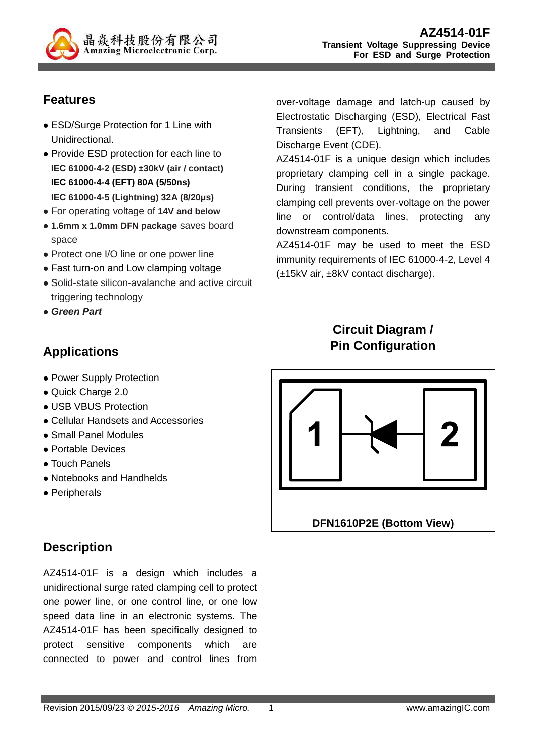

# **Features**

- ESD/Surge Protection for 1 Line with Unidirectional.
- Provide ESD protection for each line to **IEC 61000-4-2 (ESD) ±30kV (air / contact) IEC 61000-4-4 (EFT) 80A (5/50ns) IEC 61000-4-5 (Lightning) 32A (8/20µs)**
- For operating voltage of **14V and below**
- **1.6mm x 1.0mm DFN package** saves board space
- Protect one I/O line or one power line
- Fast turn-on and Low clamping voltage
- Solid-state silicon-avalanche and active circuit triggering technology
- **Green Part**

# **Applications**

- Power Supply Protection
- Quick Charge 2.0
- USB VBUS Protection
- Cellular Handsets and Accessories
- Small Panel Modules
- Portable Devices
- Touch Panels
- Notebooks and Handhelds
- Peripherals

# **Description**

AZ4514-01F is a design which includes a unidirectional surge rated clamping cell to protect one power line, or one control line, or one low speed data line in an electronic systems. The AZ4514-01F has been specifically designed to protect sensitive components which are connected to power and control lines from

over-voltage damage and latch-up caused by Electrostatic Discharging (ESD), Electrical Fast Transients (EFT), Lightning, and Cable Discharge Event (CDE).

AZ4514-01F is a unique design which includes proprietary clamping cell in a single package. During transient conditions, the proprietary clamping cell prevents over-voltage on the power line or control/data lines, protecting any downstream components.

AZ4514-01F may be used to meet the ESD immunity requirements of IEC 61000-4-2, Level 4 (±15kV air, ±8kV contact discharge).

# **Circuit Diagram / Pin Configuration**

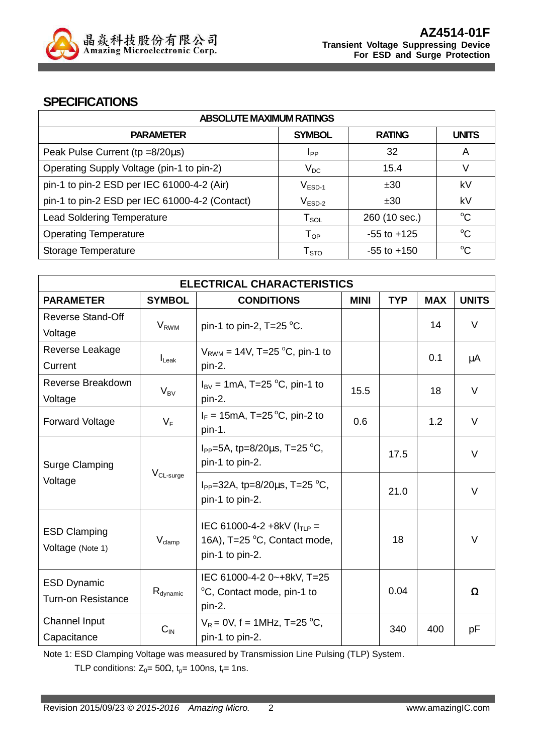

#### **SPECIFICATIONS**

| <b>ABSOLUTE MAXIMUM RATINGS</b>                |                        |                 |              |  |
|------------------------------------------------|------------------------|-----------------|--------------|--|
| <b>PARAMETER</b>                               | <b>SYMBOL</b>          | <b>RATING</b>   | <b>UNITS</b> |  |
| Peak Pulse Current ( $tp = 8/20\mu s$ )        | <b>I</b> pp            | 32              | A            |  |
| Operating Supply Voltage (pin-1 to pin-2)      | $V_{DC}$               | 15.4            | V            |  |
| pin-1 to pin-2 ESD per IEC 61000-4-2 (Air)     | $V_{ESD-1}$            | ±30             | kV           |  |
| pin-1 to pin-2 ESD per IEC 61000-4-2 (Contact) | $V_{ESD-2}$            | ±30             | kV           |  |
| <b>Lead Soldering Temperature</b>              | ${\sf T}_{\sf SOL}$    | 260 (10 sec.)   | $^{\circ}C$  |  |
| <b>Operating Temperature</b>                   | $T_{OP}$               | $-55$ to $+125$ | $^{\circ}C$  |  |
| Storage Temperature                            | ${\sf T}_{\text{STO}}$ | $-55$ to $+150$ | $\rm ^{o}C$  |  |

| <b>ELECTRICAL CHARACTERISTICS</b>                 |                       |                                                              |             |            |            |              |
|---------------------------------------------------|-----------------------|--------------------------------------------------------------|-------------|------------|------------|--------------|
| <b>PARAMETER</b>                                  | <b>SYMBOL</b>         | <b>CONDITIONS</b>                                            | <b>MINI</b> | <b>TYP</b> | <b>MAX</b> | <b>UNITS</b> |
| <b>Reverse Stand-Off</b>                          |                       |                                                              |             |            |            | V            |
| Voltage                                           | $V_{RWM}$             | pin-1 to pin-2, $T=25$ °C.                                   |             |            | 14         |              |
| Reverse Leakage                                   |                       | $V_{\text{RWM}}$ = 14V, T=25 °C, pin-1 to                    |             |            |            |              |
| Current                                           | $I_{\text{L}eak}$     | pin-2.                                                       |             |            | 0.1        | μA           |
| Reverse Breakdown                                 |                       | $I_{\text{BV}}$ = 1mA, T=25 °C, pin-1 to                     |             |            |            | V            |
| Voltage                                           | $V_{BV}$              | pin-2.                                                       | 15.5        |            | 18         |              |
| <b>Forward Voltage</b>                            | $V_F$                 | $I_F = 15 \text{mA}$ , T=25 °C, pin-2 to                     | 0.6         |            | 1.2        | V            |
|                                                   |                       | pin-1.                                                       |             |            |            |              |
| <b>Surge Clamping</b>                             |                       | $I_{PP} = 5A$ , tp=8/20 $\mu$ s, T=25 °C,                    |             | 17.5       |            | V            |
|                                                   |                       | pin-1 to pin-2.                                              |             |            |            |              |
| Voltage                                           | V <sub>CL-surge</sub> | $I_{PP}$ =32A, tp=8/20 $\mu$ s, T=25 °C,                     |             |            |            |              |
|                                                   |                       | pin-1 to pin-2.                                              |             | 21.0       |            | V            |
|                                                   |                       |                                                              |             |            |            |              |
| <b>ESD Clamping</b>                               | $V_{\text{clamp}}$    | IEC 61000-4-2 +8kV $(ITIP =$<br>16A), T=25 °C, Contact mode, |             | 18         |            | V            |
| Voltage (Note 1)                                  |                       | pin-1 to pin-2.                                              |             |            |            |              |
|                                                   |                       |                                                              |             |            |            |              |
| <b>ESD Dynamic</b>                                |                       | IEC 61000-4-2 0~+8kV, T=25                                   |             | 0.04       |            |              |
| $R_{\text{dynamic}}$<br><b>Turn-on Resistance</b> |                       | °C, Contact mode, pin-1 to<br>pin-2.                         |             |            |            | Ω            |
| Channel Input                                     |                       | $V_R = 0V$ , f = 1MHz, T=25 °C,                              |             |            |            |              |
| Capacitance                                       | $C_{\text{IN}}$       | pin-1 to pin-2.                                              |             | 340        | 400        | рF           |
|                                                   |                       |                                                              |             |            |            |              |

Note 1: ESD Clamping Voltage was measured by Transmission Line Pulsing (TLP) System.

TLP conditions:  $Z_0 = 50\Omega$ ,  $t_p = 100$ ns,  $t_r = 1$ ns.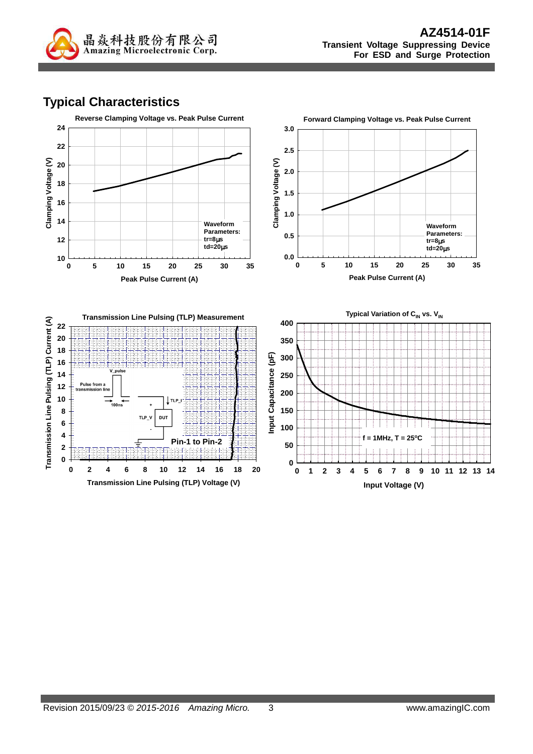

# **Typical Characteristics**

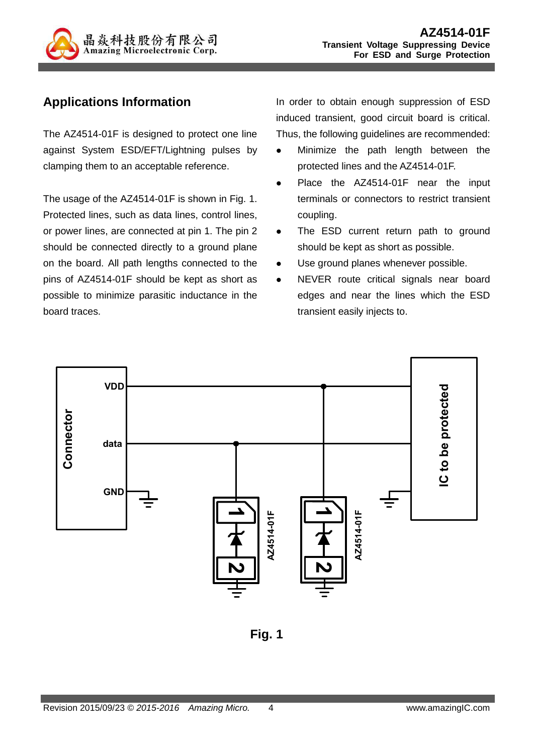

# **Applications Information**

The AZ4514-01F is designed to protect one line against System ESD/EFT/Lightning pulses by clamping them to an acceptable reference.

The usage of the AZ4514-01F is shown in Fig. 1. Protected lines, such as data lines, control lines, or power lines, are connected at pin 1. The pin 2 should be connected directly to a ground plane on the board. All path lengths connected to the pins of AZ4514-01F should be kept as short as possible to minimize parasitic inductance in the board traces.

In order to obtain enough suppression of ESD induced transient, good circuit board is critical. Thus, the following guidelines are recommended:

- Minimize the path length between the protected lines and the AZ4514-01F.
- Place the AZ4514-01F near the input terminals or connectors to restrict transient coupling.
- The ESD current return path to ground should be kept as short as possible.
- Use ground planes whenever possible.
- NEVER route critical signals near board edges and near the lines which the ESD transient easily injects to.



**Fig. 1**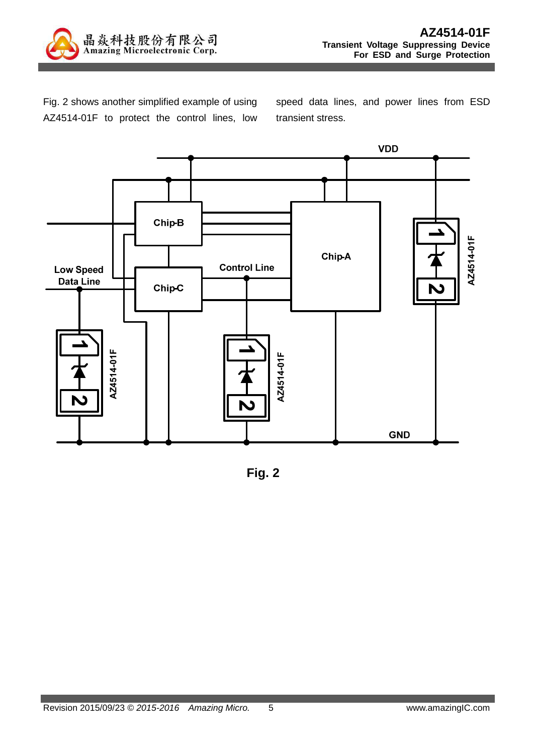

Fig. 2 shows another simplified example of using AZ4514-01F to protect the control lines, low speed data lines, and power lines from ESD transient stress.



**Fig. 2**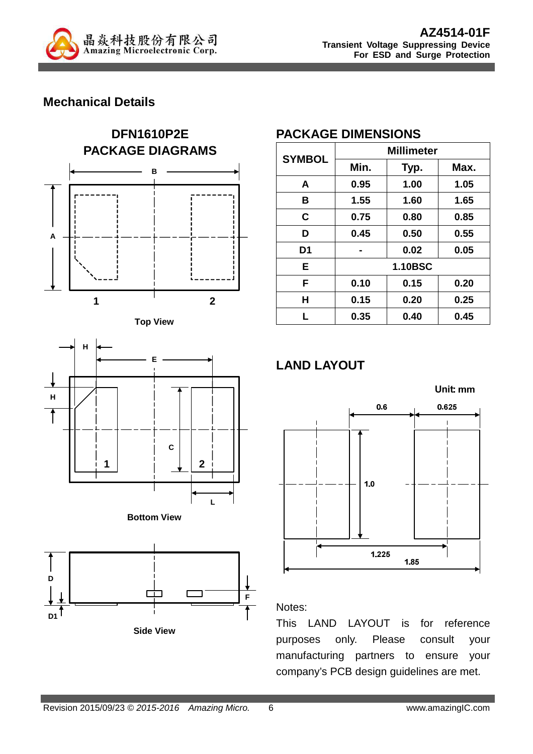

## **Mechanical Details**











**Side View**

#### **PACKAGE DIMENSIONS**

| <b>SYMBOL</b>  | <b>Millimeter</b> |                |      |  |
|----------------|-------------------|----------------|------|--|
|                | Min.              | Typ.           | Max. |  |
| A              | 0.95              | 1.00           | 1.05 |  |
| в              | 1.55              | 1.60           | 1.65 |  |
| C              | 0.75              | 0.80           | 0.85 |  |
| D              | 0.45              | 0.50           | 0.55 |  |
| D <sub>1</sub> |                   | 0.02           | 0.05 |  |
| E              |                   | <b>1.10BSC</b> |      |  |
| F              | 0.10              | 0.15           | 0.20 |  |
| Н              | 0.15              | 0.20           | 0.25 |  |
| L              | 0.35              | 0.40           | 0.45 |  |

# **LAND LAYOUT**



#### Notes:

This LAND LAYOUT is for reference purposes only. Please consult your manufacturing partners to ensure your company's PCB design guidelines are met.